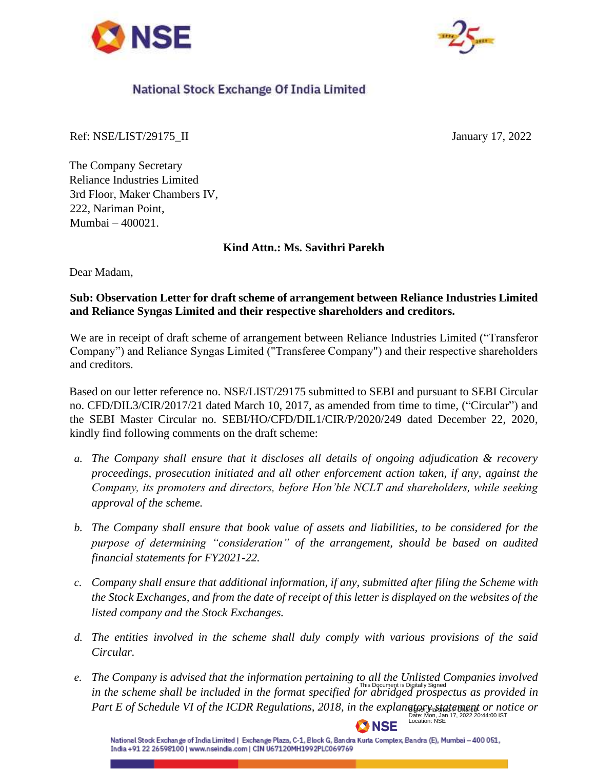



## National Stock Exchange Of India Limited

Ref: NSE/LIST/29175\_II January 17, 2022

The Company Secretary Reliance Industries Limited 3rd Floor, Maker Chambers IV, 222, Nariman Point, Mumbai – 400021.

## **Kind Attn.: Ms. Savithri Parekh**

Dear Madam,

## **Sub: Observation Letter for draft scheme of arrangement between Reliance Industries Limited and Reliance Syngas Limited and their respective shareholders and creditors.**

We are in receipt of draft scheme of arrangement between Reliance Industries Limited ("Transferor Company") and Reliance Syngas Limited ("Transferee Company") and their respective shareholders and creditors.

Based on our letter reference no. NSE/LIST/29175 submitted to SEBI and pursuant to SEBI Circular no. CFD/DIL3/CIR/2017/21 dated March 10, 2017, as amended from time to time, ("Circular") and the SEBI Master Circular no. SEBI/HO/CFD/DIL1/CIR/P/2020/249 dated December 22, 2020, kindly find following comments on the draft scheme:

- *a. The Company shall ensure that it discloses all details of ongoing adjudication & recovery proceedings, prosecution initiated and all other enforcement action taken, if any, against the Company, its promoters and directors, before Hon'ble NCLT and shareholders, while seeking approval of the scheme.*
- *b. The Company shall ensure that book value of assets and liabilities, to be considered for the purpose of determining "consideration" of the arrangement, should be based on audited financial statements for FY2021-22.*
- *c. Company shall ensure that additional information, if any, submitted after filing the Scheme with the Stock Exchanges, and from the date of receipt of this letter is displayed on the websites of the listed company and the Stock Exchanges.*
- *d. The entities involved in the scheme shall duly comply with various provisions of the said Circular.*
- *e. The Company is advised that the information pertaining to all the Unlisted Companies involved*  in the scheme shall be included in the format specified for abridged prospectus as provided in<br>Part E of Schedule VI of the ICDR Regulations, 2018, in the explan<del>ates as alway</del> or notice or Part E of Schedule VI of the ICDR Regulations, 2018, in the explane to restate than to reside or Date: Mon, Jan 17, 2022 20:44:00 IST Location: NSE

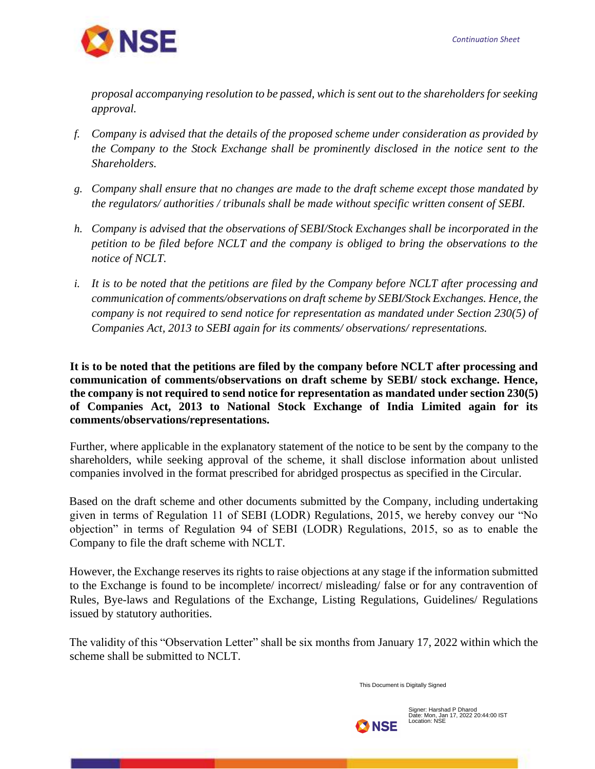

*proposal accompanying resolution to be passed, which is sent out to the shareholders for seeking approval.*

- *f. Company is advised that the details of the proposed scheme under consideration as provided by the Company to the Stock Exchange shall be prominently disclosed in the notice sent to the Shareholders.*
- *g. Company shall ensure that no changes are made to the draft scheme except those mandated by the regulators/ authorities / tribunals shall be made without specific written consent of SEBI.*
- *h. Company is advised that the observations of SEBI/Stock Exchanges shall be incorporated in the petition to be filed before NCLT and the company is obliged to bring the observations to the notice of NCLT.*
- *i. It is to be noted that the petitions are filed by the Company before NCLT after processing and communication of comments/observations on draft scheme by SEBI/Stock Exchanges. Hence, the company is not required to send notice for representation as mandated under Section 230(5) of Companies Act, 2013 to SEBI again for its comments/ observations/ representations.*

**It is to be noted that the petitions are filed by the company before NCLT after processing and communication of comments/observations on draft scheme by SEBI/ stock exchange. Hence, the company is not required to send notice for representation as mandated under section 230(5) of Companies Act, 2013 to National Stock Exchange of India Limited again for its comments/observations/representations.** 

Further, where applicable in the explanatory statement of the notice to be sent by the company to the shareholders, while seeking approval of the scheme, it shall disclose information about unlisted companies involved in the format prescribed for abridged prospectus as specified in the Circular.

Based on the draft scheme and other documents submitted by the Company, including undertaking given in terms of Regulation 11 of SEBI (LODR) Regulations, 2015, we hereby convey our "No objection" in terms of Regulation 94 of SEBI (LODR) Regulations, 2015, so as to enable the Company to file the draft scheme with NCLT.

However, the Exchange reserves its rights to raise objections at any stage if the information submitted to the Exchange is found to be incomplete/ incorrect/ misleading/ false or for any contravention of Rules, Bye-laws and Regulations of the Exchange, Listing Regulations, Guidelines/ Regulations issued by statutory authorities.

The validity of this "Observation Letter" shall be six months from January 17, 2022 within which the scheme shall be submitted to NCLT.

This Document is Digitally Signed